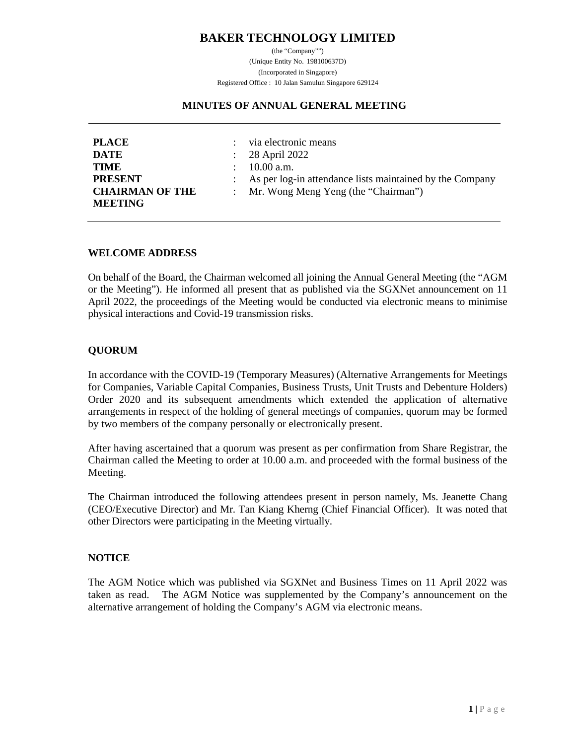# **BAKER TECHNOLOGY LIMITED**

(the "Company"") (Unique Entity No. 198100637D) (Incorporated in Singapore) Registered Office : 10 Jalan Samulun Singapore 629124

#### **MINUTES OF ANNUAL GENERAL MEETING**

| <b>PLACE</b>           | : via electronic means                                     |
|------------------------|------------------------------------------------------------|
| <b>DATE</b>            | $\therefore$ 28 April 2022                                 |
| <b>TIME</b>            | $\therefore$ 10.00 a.m.                                    |
| <b>PRESENT</b>         | : As per log-in attendance lists maintained by the Company |
| <b>CHAIRMAN OF THE</b> | : Mr. Wong Meng Yeng (the "Chairman")                      |
| <b>MEETING</b>         |                                                            |

#### **WELCOME ADDRESS**

On behalf of the Board, the Chairman welcomed all joining the Annual General Meeting (the "AGM or the Meeting"). He informed all present that as published via the SGXNet announcement on 11 April 2022, the proceedings of the Meeting would be conducted via electronic means to minimise physical interactions and Covid-19 transmission risks.

## **QUORUM**

In accordance with the COVID-19 (Temporary Measures) (Alternative Arrangements for Meetings for Companies, Variable Capital Companies, Business Trusts, Unit Trusts and Debenture Holders) Order 2020 and its subsequent amendments which extended the application of alternative arrangements in respect of the holding of general meetings of companies, quorum may be formed by two members of the company personally or electronically present.

After having ascertained that a quorum was present as per confirmation from Share Registrar, the Chairman called the Meeting to order at 10.00 a.m. and proceeded with the formal business of the Meeting.

The Chairman introduced the following attendees present in person namely, Ms. Jeanette Chang (CEO/Executive Director) and Mr. Tan Kiang Kherng (Chief Financial Officer). It was noted that other Directors were participating in the Meeting virtually.

#### **NOTICE**

The AGM Notice which was published via SGXNet and Business Times on 11 April 2022 was taken as read. The AGM Notice was supplemented by the Company's announcement on the alternative arrangement of holding the Company's AGM via electronic means.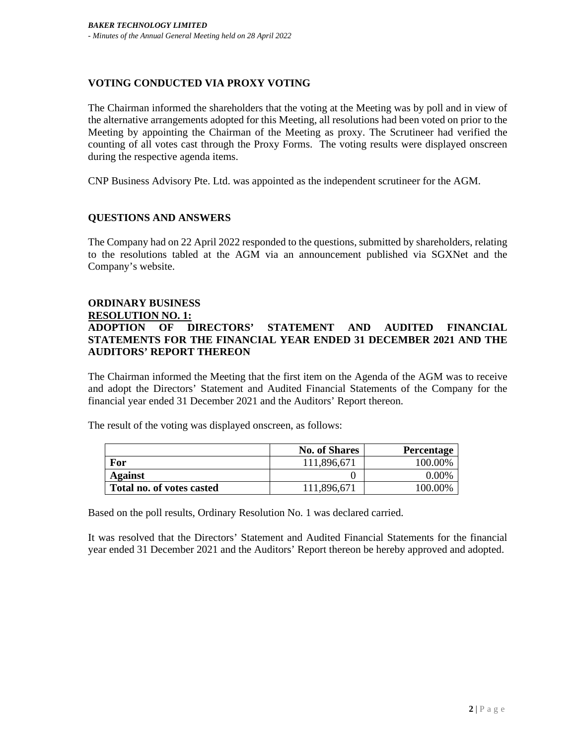# **VOTING CONDUCTED VIA PROXY VOTING**

The Chairman informed the shareholders that the voting at the Meeting was by poll and in view of the alternative arrangements adopted for this Meeting, all resolutions had been voted on prior to the Meeting by appointing the Chairman of the Meeting as proxy. The Scrutineer had verified the counting of all votes cast through the Proxy Forms. The voting results were displayed onscreen during the respective agenda items.

CNP Business Advisory Pte. Ltd. was appointed as the independent scrutineer for the AGM.

# **QUESTIONS AND ANSWERS**

The Company had on 22 April 2022 responded to the questions, submitted by shareholders, relating to the resolutions tabled at the AGM via an announcement published via SGXNet and the Company's website.

## **ORDINARY BUSINESS RESOLUTION NO. 1: ADOPTION OF DIRECTORS' STATEMENT AND AUDITED FINANCIAL STATEMENTS FOR THE FINANCIAL YEAR ENDED 31 DECEMBER 2021 AND THE AUDITORS' REPORT THEREON**

The Chairman informed the Meeting that the first item on the Agenda of the AGM was to receive and adopt the Directors' Statement and Audited Financial Statements of the Company for the financial year ended 31 December 2021 and the Auditors' Report thereon.

The result of the voting was displayed onscreen, as follows:

|                           | <b>No. of Shares</b> | <b>Percentage</b> |
|---------------------------|----------------------|-------------------|
| For                       | 111,896,671          | 100.00%           |
| Against                   |                      | 0.00%             |
| Total no. of votes casted | 111,896,671          | 100.00%           |

Based on the poll results, Ordinary Resolution No. 1 was declared carried.

It was resolved that the Directors' Statement and Audited Financial Statements for the financial year ended 31 December 2021 and the Auditors' Report thereon be hereby approved and adopted.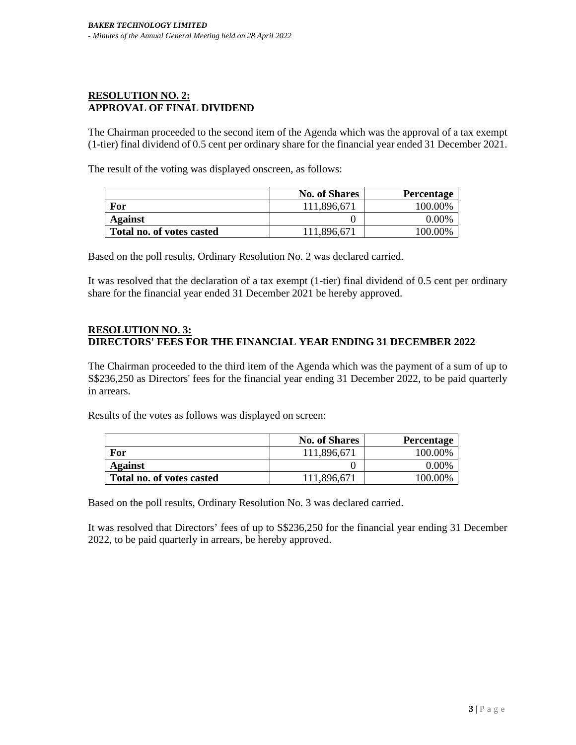## **RESOLUTION NO. 2: APPROVAL OF FINAL DIVIDEND**

The Chairman proceeded to the second item of the Agenda which was the approval of a tax exempt (1-tier) final dividend of 0.5 cent per ordinary share for the financial year ended 31 December 2021.

The result of the voting was displayed onscreen, as follows:

|                           | <b>No. of Shares</b> | Percentage |
|---------------------------|----------------------|------------|
| For                       | 111,896,671          | 100.00%    |
| <b>Against</b>            |                      | $0.00\%$   |
| Total no. of votes casted | 111,896,671          | 100.00%    |

Based on the poll results, Ordinary Resolution No. 2 was declared carried.

It was resolved that the declaration of a tax exempt (1-tier) final dividend of 0.5 cent per ordinary share for the financial year ended 31 December 2021 be hereby approved.

## **RESOLUTION NO. 3: DIRECTORS' FEES FOR THE FINANCIAL YEAR ENDING 31 DECEMBER 2022**

The Chairman proceeded to the third item of the Agenda which was the payment of a sum of up to S\$236,250 as Directors' fees for the financial year ending 31 December 2022, to be paid quarterly in arrears.

Results of the votes as follows was displayed on screen:

|                           | <b>No. of Shares</b> | Percentage |
|---------------------------|----------------------|------------|
| For                       | 111,896,671          | 100.00%    |
| <b>Against</b>            |                      | $0.00\%$   |
| Total no. of votes casted | 111,896,671          | 100.00%    |

Based on the poll results, Ordinary Resolution No. 3 was declared carried.

It was resolved that Directors' fees of up to S\$236,250 for the financial year ending 31 December 2022, to be paid quarterly in arrears, be hereby approved.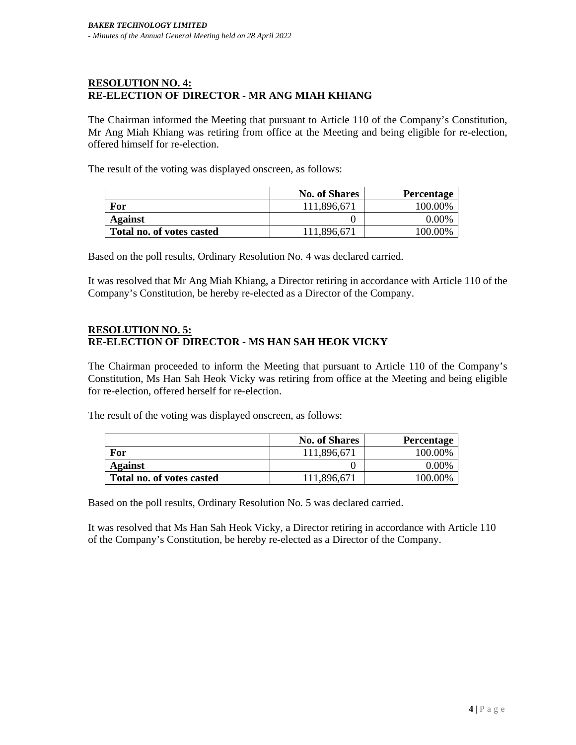# **RESOLUTION NO. 4: RE-ELECTION OF DIRECTOR - MR ANG MIAH KHIANG**

The Chairman informed the Meeting that pursuant to Article 110 of the Company's Constitution, Mr Ang Miah Khiang was retiring from office at the Meeting and being eligible for re-election, offered himself for re-election.

The result of the voting was displayed onscreen, as follows:

|                           | <b>No. of Shares</b> | <b>Percentage</b> |
|---------------------------|----------------------|-------------------|
| For                       | 111,896,671          | 100.00%           |
| <b>Against</b>            |                      | $0.00\%$          |
| Total no. of votes casted | 111,896,671          | 100.00%           |

Based on the poll results, Ordinary Resolution No. 4 was declared carried.

It was resolved that Mr Ang Miah Khiang, a Director retiring in accordance with Article 110 of the Company's Constitution, be hereby re-elected as a Director of the Company.

## **RESOLUTION NO. 5: RE-ELECTION OF DIRECTOR - MS HAN SAH HEOK VICKY**

The Chairman proceeded to inform the Meeting that pursuant to Article 110 of the Company's Constitution, Ms Han Sah Heok Vicky was retiring from office at the Meeting and being eligible for re-election, offered herself for re-election.

The result of the voting was displayed onscreen, as follows:

|                           | <b>No. of Shares</b> | <b>Percentage</b> |
|---------------------------|----------------------|-------------------|
| For                       | 111,896,671          | 100.00%           |
| <b>Against</b>            |                      | $0.00\%$          |
| Total no. of votes casted | 111,896,671          | 100.00%           |

Based on the poll results, Ordinary Resolution No. 5 was declared carried.

It was resolved that Ms Han Sah Heok Vicky, a Director retiring in accordance with Article 110 of the Company's Constitution, be hereby re-elected as a Director of the Company.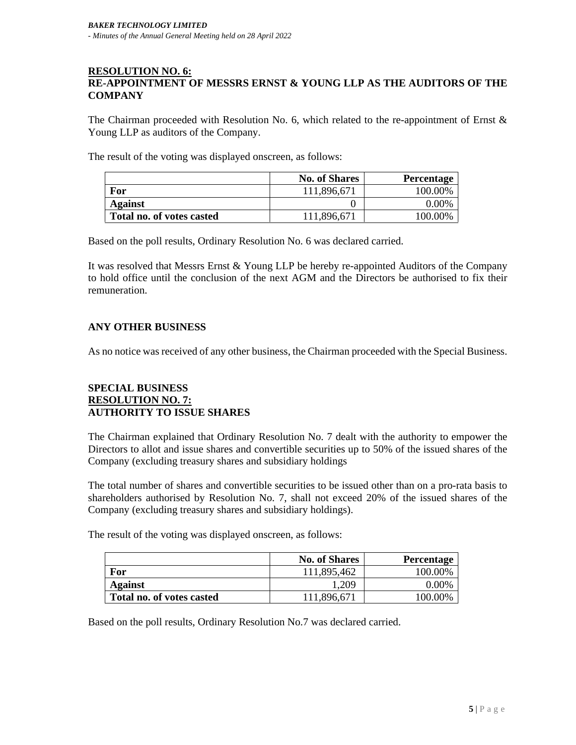#### **RESOLUTION NO. 6: RE-APPOINTMENT OF MESSRS ERNST & YOUNG LLP AS THE AUDITORS OF THE COMPANY**

The Chairman proceeded with Resolution No. 6, which related to the re-appointment of Ernst  $\&$ Young LLP as auditors of the Company.

The result of the voting was displayed onscreen, as follows:

|                           | <b>No. of Shares</b> | Percentage |
|---------------------------|----------------------|------------|
| For                       | 111,896,671          | 100.00%    |
| Against                   |                      | $0.00\%$   |
| Total no. of votes casted | 111,896,671          | 100.00%    |

Based on the poll results, Ordinary Resolution No. 6 was declared carried.

It was resolved that Messrs Ernst & Young LLP be hereby re-appointed Auditors of the Company to hold office until the conclusion of the next AGM and the Directors be authorised to fix their remuneration.

## **ANY OTHER BUSINESS**

As no notice was received of any other business, the Chairman proceeded with the Special Business.

#### **SPECIAL BUSINESS RESOLUTION NO. 7: AUTHORITY TO ISSUE SHARES**

The Chairman explained that Ordinary Resolution No. 7 dealt with the authority to empower the Directors to allot and issue shares and convertible securities up to 50% of the issued shares of the Company (excluding treasury shares and subsidiary holdings

The total number of shares and convertible securities to be issued other than on a pro-rata basis to shareholders authorised by Resolution No. 7, shall not exceed 20% of the issued shares of the Company (excluding treasury shares and subsidiary holdings).

The result of the voting was displayed onscreen, as follows:

|                           | <b>No. of Shares</b> | <b>Percentage</b> |
|---------------------------|----------------------|-------------------|
| For                       | 111,895,462          | 100.00%           |
| Against                   | 1,209                | $0.00\%$          |
| Total no. of votes casted | 111,896,671          | 100.00%           |

Based on the poll results, Ordinary Resolution No.7 was declared carried.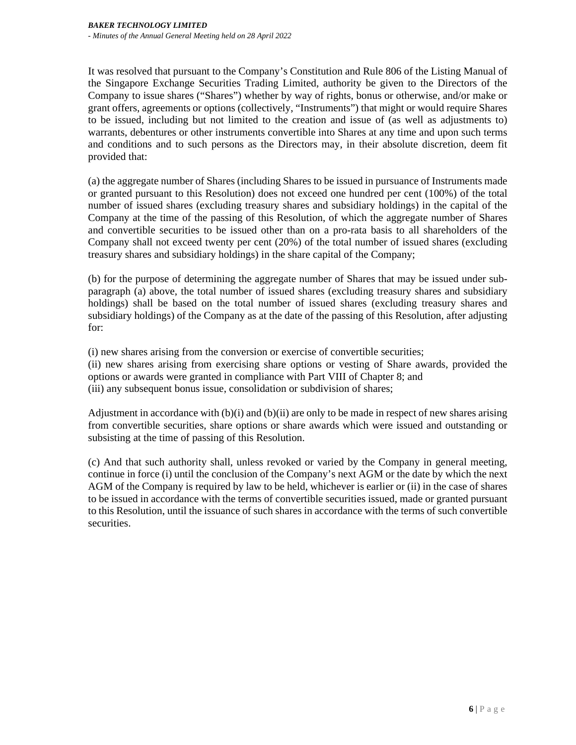It was resolved that pursuant to the Company's Constitution and Rule 806 of the Listing Manual of the Singapore Exchange Securities Trading Limited, authority be given to the Directors of the Company to issue shares ("Shares") whether by way of rights, bonus or otherwise, and/or make or grant offers, agreements or options (collectively, "Instruments") that might or would require Shares to be issued, including but not limited to the creation and issue of (as well as adjustments to) warrants, debentures or other instruments convertible into Shares at any time and upon such terms and conditions and to such persons as the Directors may, in their absolute discretion, deem fit provided that:

(a) the aggregate number of Shares (including Shares to be issued in pursuance of Instruments made or granted pursuant to this Resolution) does not exceed one hundred per cent (100%) of the total number of issued shares (excluding treasury shares and subsidiary holdings) in the capital of the Company at the time of the passing of this Resolution, of which the aggregate number of Shares and convertible securities to be issued other than on a pro-rata basis to all shareholders of the Company shall not exceed twenty per cent (20%) of the total number of issued shares (excluding treasury shares and subsidiary holdings) in the share capital of the Company;

(b) for the purpose of determining the aggregate number of Shares that may be issued under subparagraph (a) above, the total number of issued shares (excluding treasury shares and subsidiary holdings) shall be based on the total number of issued shares (excluding treasury shares and subsidiary holdings) of the Company as at the date of the passing of this Resolution, after adjusting for:

(i) new shares arising from the conversion or exercise of convertible securities;

(ii) new shares arising from exercising share options or vesting of Share awards, provided the options or awards were granted in compliance with Part VIII of Chapter 8; and (iii) any subsequent bonus issue, consolidation or subdivision of shares;

Adjustment in accordance with (b)(i) and (b)(ii) are only to be made in respect of new shares arising from convertible securities, share options or share awards which were issued and outstanding or subsisting at the time of passing of this Resolution.

(c) And that such authority shall, unless revoked or varied by the Company in general meeting, continue in force (i) until the conclusion of the Company's next AGM or the date by which the next AGM of the Company is required by law to be held, whichever is earlier or (ii) in the case of shares to be issued in accordance with the terms of convertible securities issued, made or granted pursuant to this Resolution, until the issuance of such shares in accordance with the terms of such convertible securities.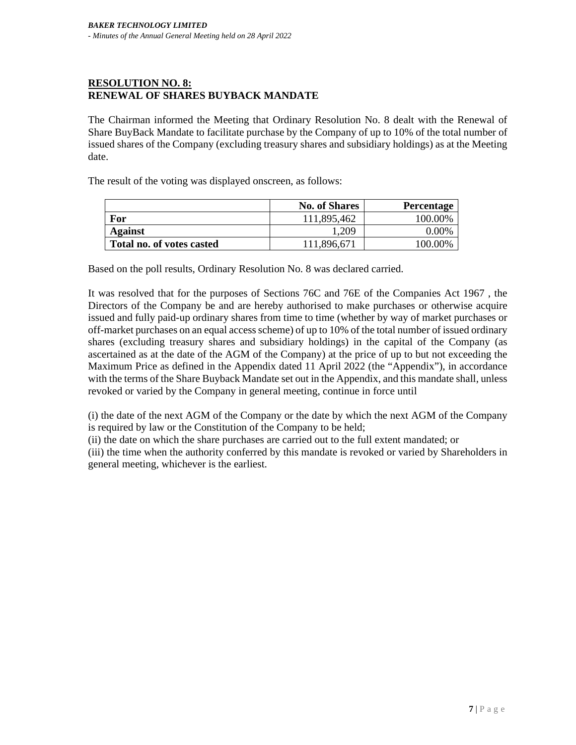# **RESOLUTION NO. 8: RENEWAL OF SHARES BUYBACK MANDATE**

The Chairman informed the Meeting that Ordinary Resolution No. 8 dealt with the Renewal of Share BuyBack Mandate to facilitate purchase by the Company of up to 10% of the total number of issued shares of the Company (excluding treasury shares and subsidiary holdings) as at the Meeting date.

The result of the voting was displayed onscreen, as follows:

|                           | <b>No. of Shares</b> | Percentage |
|---------------------------|----------------------|------------|
| For                       | 111,895,462          | 100.00%    |
| Against                   | ,209                 | 0.00%      |
| Total no. of votes casted | 111,896,671          | 100.00%    |

Based on the poll results, Ordinary Resolution No. 8 was declared carried.

It was resolved that for the purposes of Sections 76C and 76E of the Companies Act 1967 , the Directors of the Company be and are hereby authorised to make purchases or otherwise acquire issued and fully paid-up ordinary shares from time to time (whether by way of market purchases or off-market purchases on an equal access scheme) of up to 10% of the total number of issued ordinary shares (excluding treasury shares and subsidiary holdings) in the capital of the Company (as ascertained as at the date of the AGM of the Company) at the price of up to but not exceeding the Maximum Price as defined in the Appendix dated 11 April 2022 (the "Appendix"), in accordance with the terms of the Share Buyback Mandate set out in the Appendix, and this mandate shall, unless revoked or varied by the Company in general meeting, continue in force until

(i) the date of the next AGM of the Company or the date by which the next AGM of the Company is required by law or the Constitution of the Company to be held;

(ii) the date on which the share purchases are carried out to the full extent mandated; or

(iii) the time when the authority conferred by this mandate is revoked or varied by Shareholders in general meeting, whichever is the earliest.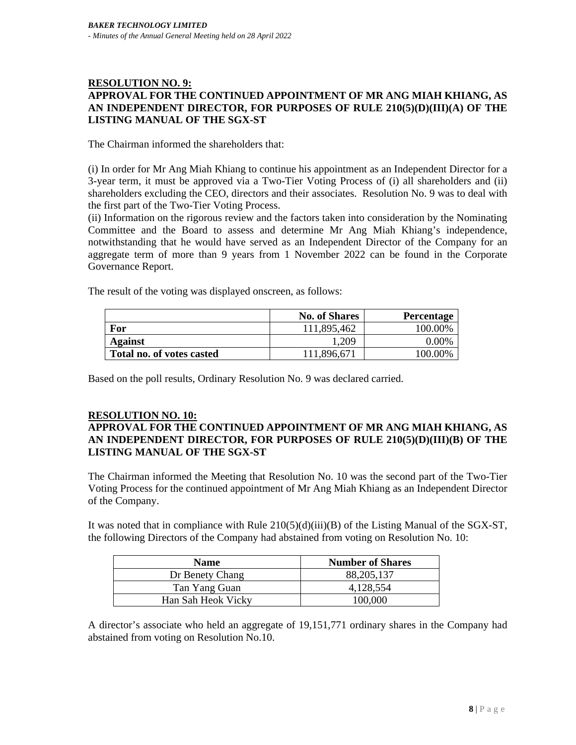## **RESOLUTION NO. 9: APPROVAL FOR THE CONTINUED APPOINTMENT OF MR ANG MIAH KHIANG, AS AN INDEPENDENT DIRECTOR, FOR PURPOSES OF RULE 210(5)(D)(III)(A) OF THE LISTING MANUAL OF THE SGX-ST**

The Chairman informed the shareholders that:

(i) In order for Mr Ang Miah Khiang to continue his appointment as an Independent Director for a 3-year term, it must be approved via a Two-Tier Voting Process of (i) all shareholders and (ii) shareholders excluding the CEO, directors and their associates. Resolution No. 9 was to deal with the first part of the Two-Tier Voting Process.

(ii) Information on the rigorous review and the factors taken into consideration by the Nominating Committee and the Board to assess and determine Mr Ang Miah Khiang's independence, notwithstanding that he would have served as an Independent Director of the Company for an aggregate term of more than 9 years from 1 November 2022 can be found in the Corporate Governance Report.

The result of the voting was displayed onscreen, as follows:

|                           | <b>No. of Shares</b> | Percentage |
|---------------------------|----------------------|------------|
| For                       | 111,895,462          | 100.00%    |
| Against                   | ,209                 | $0.00\%$   |
| Total no. of votes casted | 111,896,671          | 100.00%    |

Based on the poll results, Ordinary Resolution No. 9 was declared carried.

#### **RESOLUTION NO. 10:**

# **APPROVAL FOR THE CONTINUED APPOINTMENT OF MR ANG MIAH KHIANG, AS AN INDEPENDENT DIRECTOR, FOR PURPOSES OF RULE 210(5)(D)(III)(B) OF THE LISTING MANUAL OF THE SGX-ST**

The Chairman informed the Meeting that Resolution No. 10 was the second part of the Two-Tier Voting Process for the continued appointment of Mr Ang Miah Khiang as an Independent Director of the Company.

It was noted that in compliance with Rule  $210(5)(d)(iii)(B)$  of the Listing Manual of the SGX-ST, the following Directors of the Company had abstained from voting on Resolution No. 10:

| <b>Name</b>        | <b>Number of Shares</b> |
|--------------------|-------------------------|
| Dr Benety Chang    | 88, 205, 137            |
| Tan Yang Guan      | 4,128,554               |
| Han Sah Heok Vicky | 100.000                 |

A director's associate who held an aggregate of 19,151,771 ordinary shares in the Company had abstained from voting on Resolution No.10.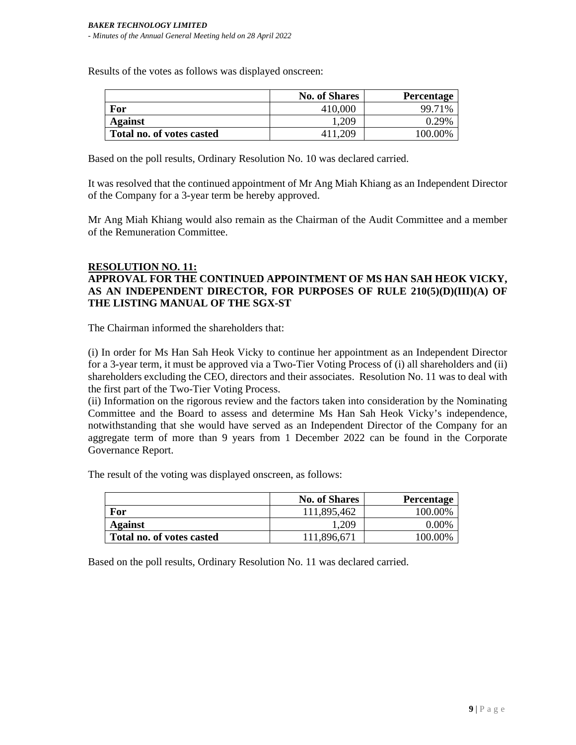Results of the votes as follows was displayed onscreen:

|                           | <b>No. of Shares</b> | Percentage |
|---------------------------|----------------------|------------|
| For                       | 410,000              | 99.71%     |
| Against                   | ,209                 | 0.29%      |
| Total no. of votes casted | 411,209              | 100.00%    |

Based on the poll results, Ordinary Resolution No. 10 was declared carried.

It was resolved that the continued appointment of Mr Ang Miah Khiang as an Independent Director of the Company for a 3-year term be hereby approved.

Mr Ang Miah Khiang would also remain as the Chairman of the Audit Committee and a member of the Remuneration Committee.

## **RESOLUTION NO. 11: APPROVAL FOR THE CONTINUED APPOINTMENT OF MS HAN SAH HEOK VICKY, AS AN INDEPENDENT DIRECTOR, FOR PURPOSES OF RULE 210(5)(D)(III)(A) OF THE LISTING MANUAL OF THE SGX-ST**

The Chairman informed the shareholders that:

(i) In order for Ms Han Sah Heok Vicky to continue her appointment as an Independent Director for a 3-year term, it must be approved via a Two-Tier Voting Process of (i) all shareholders and (ii) shareholders excluding the CEO, directors and their associates. Resolution No. 11 was to deal with the first part of the Two-Tier Voting Process.

(ii) Information on the rigorous review and the factors taken into consideration by the Nominating Committee and the Board to assess and determine Ms Han Sah Heok Vicky's independence, notwithstanding that she would have served as an Independent Director of the Company for an aggregate term of more than 9 years from 1 December 2022 can be found in the Corporate Governance Report.

The result of the voting was displayed onscreen, as follows:

|                           | <b>No. of Shares</b> | Percentage |
|---------------------------|----------------------|------------|
| For                       | 111,895,462          | 100.00%    |
| <b>Against</b>            | 1,209                | $0.00\%$   |
| Total no. of votes casted | 111,896,671          | 100.00%    |

Based on the poll results, Ordinary Resolution No. 11 was declared carried.